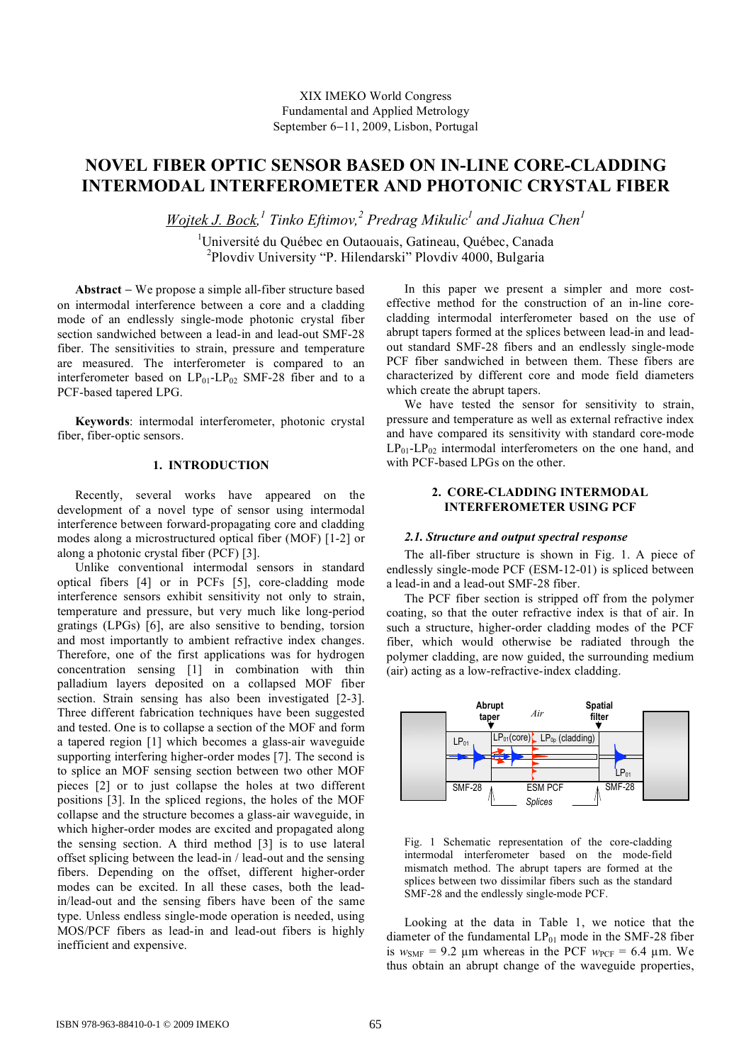# **NOVEL FIBER OPTIC SENSOR BASED ON IN-LINE CORE-CLADDING INTERMODAL INTERFEROMETER AND PHOTONIC CRYSTAL FIBER**

 $W$ ojtek J. Bock,<sup>1</sup> Tinko Eftimov,<sup>2</sup> Predrag Mikulic<sup>1</sup> and Jiahua Chen<sup>1</sup>

1 Université du Québec en Outaouais, Gatineau, Québec, Canada <sup>2</sup> Plovdiv University "P. Hilendarski" Plovdiv 4000, Bulgaria

**Abstract** − We propose a simple all-fiber structure based on intermodal interference between a core and a cladding mode of an endlessly single-mode photonic crystal fiber section sandwiched between a lead-in and lead-out SMF-28 fiber. The sensitivities to strain, pressure and temperature are measured. The interferometer is compared to an interferometer based on  $LP_{01}$ - $LP_{02}$  SMF-28 fiber and to a PCF-based tapered LPG.

**Keywords**: intermodal interferometer, photonic crystal fiber, fiber-optic sensors.

#### **1. INTRODUCTION**

Recently, several works have appeared on the development of a novel type of sensor using intermodal interference between forward-propagating core and cladding modes along a microstructured optical fiber (MOF) [1-2] or along a photonic crystal fiber (PCF) [3].

Unlike conventional intermodal sensors in standard optical fibers [4] or in PCFs [5], core-cladding mode interference sensors exhibit sensitivity not only to strain, temperature and pressure, but very much like long-period gratings (LPGs) [6], are also sensitive to bending, torsion and most importantly to ambient refractive index changes. Therefore, one of the first applications was for hydrogen concentration sensing [1] in combination with thin palladium layers deposited on a collapsed MOF fiber section. Strain sensing has also been investigated [2-3]. Three different fabrication techniques have been suggested and tested. One is to collapse a section of the MOF and form a tapered region [1] which becomes a glass-air waveguide supporting interfering higher-order modes [7]. The second is to splice an MOF sensing section between two other MOF pieces [2] or to just collapse the holes at two different positions [3]. In the spliced regions, the holes of the MOF collapse and the structure becomes a glass-air waveguide, in which higher-order modes are excited and propagated along the sensing section. A third method [3] is to use lateral offset splicing between the lead-in / lead-out and the sensing fibers. Depending on the offset, different higher-order modes can be excited. In all these cases, both the leadin/lead-out and the sensing fibers have been of the same type. Unless endless single-mode operation is needed, using MOS/PCF fibers as lead-in and lead-out fibers is highly inefficient and expensive.

In this paper we present a simpler and more costeffective method for the construction of an in-line corecladding intermodal interferometer based on the use of abrupt tapers formed at the splices between lead-in and leadout standard SMF-28 fibers and an endlessly single-mode PCF fiber sandwiched in between them. These fibers are characterized by different core and mode field diameters which create the abrupt tapers.

We have tested the sensor for sensitivity to strain, pressure and temperature as well as external refractive index and have compared its sensitivity with standard core-mode  $LP_{01}$ - $LP_{02}$  intermodal interferometers on the one hand, and with PCF-based LPGs on the other.

## **2. CORE-CLADDING INTERMODAL INTERFEROMETER USING PCF**

#### *2.1. Structure and output spectral response*

The all-fiber structure is shown in Fig. 1. A piece of endlessly single-mode PCF (ESM-12-01) is spliced between a lead-in and a lead-out SMF-28 fiber.

The PCF fiber section is stripped off from the polymer coating, so that the outer refractive index is that of air. In such a structure, higher-order cladding modes of the PCF fiber, which would otherwise be radiated through the polymer cladding, are now guided, the surrounding medium (air) acting as a low-refractive-index cladding.



Fig. 1 Schematic representation of the core-cladding intermodal interferometer based on the mode-field mismatch method. The abrupt tapers are formed at the splices between two dissimilar fibers such as the standard SMF-28 and the endlessly single-mode PCF.

Looking at the data in Table 1, we notice that the diameter of the fundamental  $LP_{01}$  mode in the SMF-28 fiber is  $w_{\text{SME}} = 9.2 \text{ µm}$  whereas in the PCF  $w_{\text{PCF}} = 6.4 \text{ µm}$ . We thus obtain an abrupt change of the waveguide properties,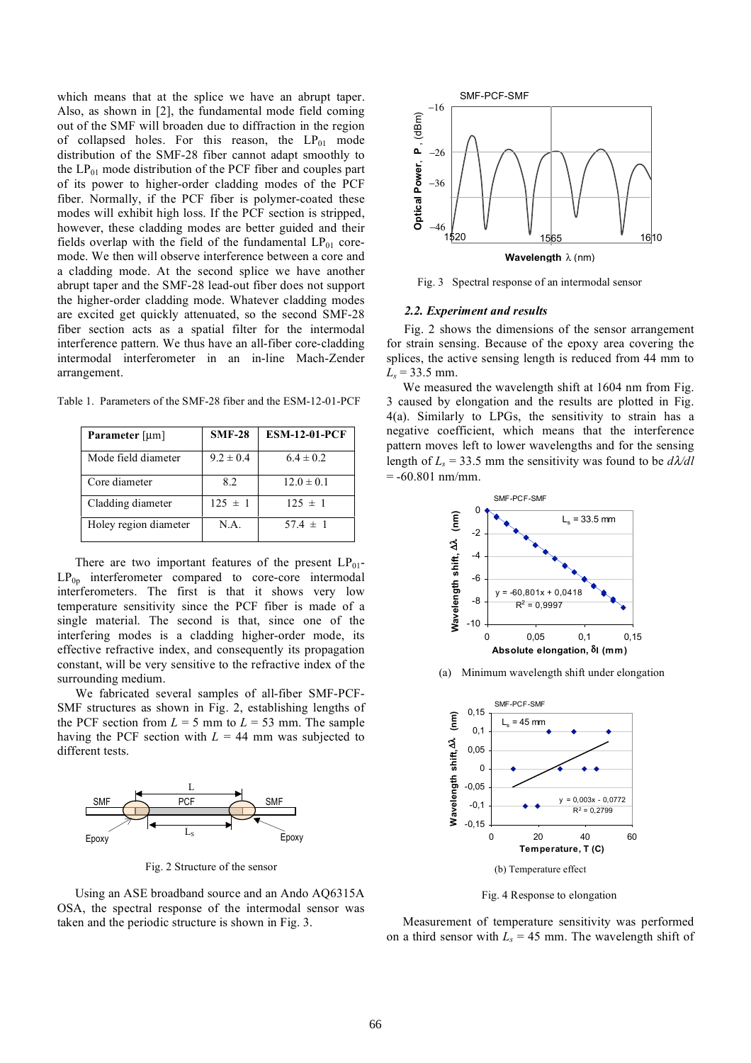which means that at the splice we have an abrupt taper. Also, as shown in [2], the fundamental mode field coming out of the SMF will broaden due to diffraction in the region of collapsed holes. For this reason, the  $LP_{01}$  mode distribution of the SMF-28 fiber cannot adapt smoothly to the  $LP_{01}$  mode distribution of the PCF fiber and couples part of its power to higher-order cladding modes of the PCF fiber. Normally, if the PCF fiber is polymer-coated these modes will exhibit high loss. If the PCF section is stripped, however, these cladding modes are better guided and their fields overlap with the field of the fundamental  $LP_{01}$  coremode. We then will observe interference between a core and a cladding mode. At the second splice we have another abrupt taper and the SMF-28 lead-out fiber does not support the higher-order cladding mode. Whatever cladding modes are excited get quickly attenuated, so the second SMF-28 fiber section acts as a spatial filter for the intermodal interference pattern. We thus have an all-fiber core-cladding intermodal interferometer in an in-line Mach-Zender arrangement.

| Parameter [µm]        | $SMF-28$      | <b>ESM-12-01-PCF</b> |
|-----------------------|---------------|----------------------|
| Mode field diameter   | $9.2 \pm 0.4$ | $6.4 \pm 0.2$        |
| Core diameter         | 8.2           | $12.0 \pm 0.1$       |
| Cladding diameter     | $125 \pm 1$   | $125 \pm 1$          |
| Holey region diameter | N.A.          | $57.4 \pm 1$         |

Table 1. Parameters of the SMF-28 fiber and the ESM-12-01-PCF

There are two important features of the present  $LP_{01}$ - $LP<sub>0p</sub>$  interferometer compared to core-core intermodal interferometers. The first is that it shows very low temperature sensitivity since the PCF fiber is made of a single material. The second is that, since one of the interfering modes is a cladding higher-order mode, its effective refractive index, and consequently its propagation constant, will be very sensitive to the refractive index of the surrounding medium.

We fabricated several samples of all-fiber SMF-PCF-SMF structures as shown in Fig. 2, establishing lengths of the PCF section from  $L = 5$  mm to  $L = 53$  mm. The sample having the PCF section with  $L = 44$  mm was subjected to different tests.



Fig. 2 Structure of the sensor

Using an ASE broadband source and an Ando AQ6315A OSA, the spectral response of the intermodal sensor was taken and the periodic structure is shown in Fig. 3.



Fig. 3 Spectral response of an intermodal sensor

#### *2.2. Experiment and results*

Fig. 2 shows the dimensions of the sensor arrangement for strain sensing. Because of the epoxy area covering the splices, the active sensing length is reduced from 44 mm to  $L_s$  = 33.5 mm.

We measured the wavelength shift at 1604 nm from Fig. 3 caused by elongation and the results are plotted in Fig. 4(a). Similarly to LPGs, the sensitivity to strain has a negative coefficient, which means that the interference pattern moves left to lower wavelengths and for the sensing length of  $L_s = 33.5$  mm the sensitivity was found to be  $d\lambda/dl$  $= -60.801$  nm/mm.



(a) Minimum wavelength shift under elongation



Fig. 4 Response to elongation

Measurement of temperature sensitivity was performed on a third sensor with  $L_s = 45$  mm. The wavelength shift of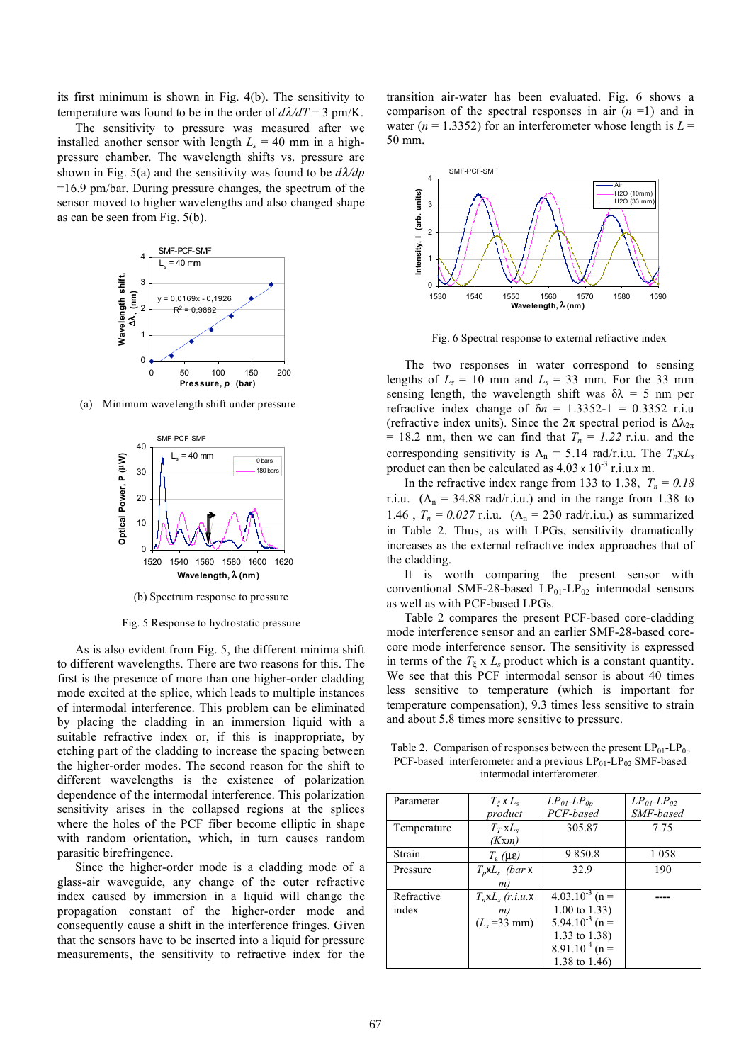its first minimum is shown in Fig. 4(b). The sensitivity to temperature was found to be in the order of  $d\lambda/dT = 3$  pm/K.

The sensitivity to pressure was measured after we installed another sensor with length  $L<sub>s</sub> = 40$  mm in a highpressure chamber. The wavelength shifts vs. pressure are shown in Fig. 5(a) and the sensitivity was found to be *d*λ*/dp* =16.9 pm/bar. During pressure changes, the spectrum of the sensor moved to higher wavelengths and also changed shape as can be seen from Fig. 5(b).



(a) Minimum wavelength shift under pressure



(b) Spectrum response to pressure

Fig. 5 Response to hydrostatic pressure

As is also evident from Fig. 5, the different minima shift to different wavelengths. There are two reasons for this. The first is the presence of more than one higher-order cladding mode excited at the splice, which leads to multiple instances of intermodal interference. This problem can be eliminated by placing the cladding in an immersion liquid with a suitable refractive index or, if this is inappropriate, by etching part of the cladding to increase the spacing between the higher-order modes. The second reason for the shift to different wavelengths is the existence of polarization dependence of the intermodal interference. This polarization sensitivity arises in the collapsed regions at the splices where the holes of the PCF fiber become elliptic in shape with random orientation, which, in turn causes random parasitic birefringence.

Since the higher-order mode is a cladding mode of a glass-air waveguide, any change of the outer refractive index caused by immersion in a liquid will change the propagation constant of the higher-order mode and consequently cause a shift in the interference fringes. Given that the sensors have to be inserted into a liquid for pressure measurements, the sensitivity to refractive index for the transition air-water has been evaluated. Fig. 6 shows a comparison of the spectral responses in air (*n* =1) and in water ( $n = 1.3352$ ) for an interferometer whose length is  $L =$ 50 mm.



Fig. 6 Spectral response to external refractive index

The two responses in water correspond to sensing lengths of  $L_s = 10$  mm and  $L_s = 33$  mm. For the 33 mm sensing length, the wavelength shift was  $\delta \lambda = 5$  nm per refractive index change of δ*n* = 1.3352-1 = 0.3352 r.i.u (refractive index units). Since the  $2\pi$  spectral period is  $\Delta\lambda_{2\pi}$ = 18.2 nm, then we can find that  $T_n = 1.22$  r.i.u. and the corresponding sensitivity is  $\Lambda_n = 5.14$  rad/r.i.u. The  $T_n x L_s$ product can then be calculated as  $4.03 \times 10^{-3}$  r.i.u.x m.

In the refractive index range from 133 to 1.38,  $T_n = 0.18$ r.i.u.  $(\Lambda_n = 34.88 \text{ rad/r.i.u.})$  and in the range from 1.38 to 1.46,  $T_n = 0.027$  r.i.u.  $(\Lambda_n = 230 \text{ rad/r.i.u.})$  as summarized in Table 2. Thus, as with LPGs, sensitivity dramatically increases as the external refractive index approaches that of the cladding.

It is worth comparing the present sensor with conventional SMF-28-based  $LP_{01}$ - $LP_{02}$  intermodal sensors as well as with PCF-based LPGs.

Table 2 compares the present PCF-based core-cladding mode interference sensor and an earlier SMF-28-based corecore mode interference sensor. The sensitivity is expressed in terms of the  $T_{\xi}$  x  $L_s$  product which is a constant quantity. We see that this PCF intermodal sensor is about 40 times less sensitive to temperature (which is important for temperature compensation), 9.3 times less sensitive to strain and about 5.8 times more sensitive to pressure.

Table 2. Comparison of responses between the present  $LP_{01}$ - $LP_{0p}$ PCF-based interferometer and a previous  $LP_{01}$ - $LP_{02}$  SMF-based intermodal interferometer.

| Parameter   | $T_z \times L_s$                  | $LP_{0I}$ - $LP_{0p}$   | $LP_{01}$ - $LP_{02}$ |
|-------------|-----------------------------------|-------------------------|-----------------------|
|             | product                           | PCF-based               | SMF-based             |
| Temperature | $T_T$ xL <sub>s</sub>             | 305.87                  | 7.75                  |
|             | (Kxm)                             |                         |                       |
| Strain      | $T_{\rm s}$ ( $\mu \varepsilon$ ) | 9850.8                  | 1058                  |
| Pressure    | $T_p$ xL <sub>s</sub> (bar x      | 32.9                    | 190                   |
|             | m)                                |                         |                       |
| Refractive  | $T_n x L_s$ (r.i.u.x              | $4.03.10^{-3}$ (n =     |                       |
| index       | m)                                | $1.00 \text{ to } 1.33$ |                       |
|             | $(L_s = 33$ mm)                   | $5.94.10^{-3}$ (n =     |                       |
|             |                                   | 1.33 to 1.38)           |                       |
|             |                                   | $8.91.10^{4}$ (n =      |                       |
|             |                                   | 1.38 to 1.46)           |                       |